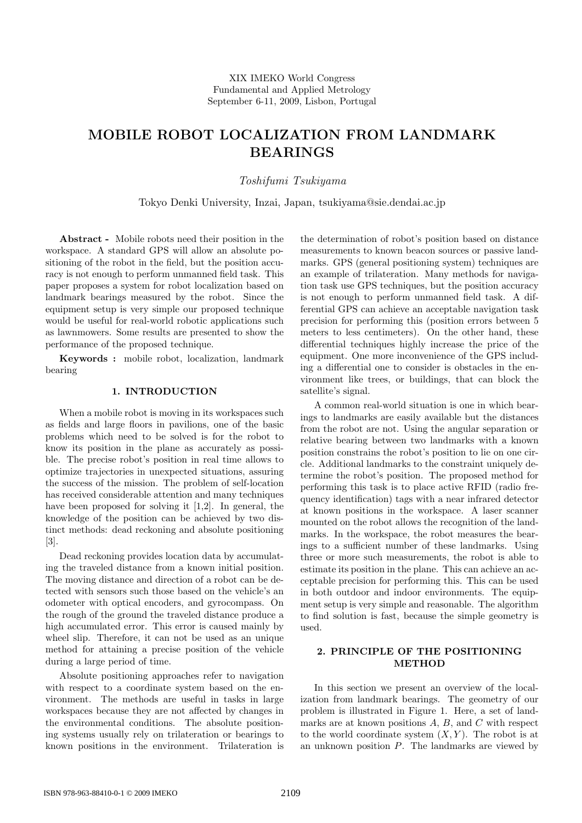# **MOBILE ROBOT LOCALIZATION FROM LANDMARK BEARINGS**

## *Toshifumi Tsukiyama*

Tokyo Denki University, Inzai, Japan, tsukiyama@sie.dendai.ac.jp

**Abstract -** Mobile robots need their position in the workspace. A standard GPS will allow an absolute positioning of the robot in the field, but the position accuracy is not enough to perform unmanned field task. This paper proposes a system for robot localization based on landmark bearings measured by the robot. Since the equipment setup is very simple our proposed technique would be useful for real-world robotic applications such as lawnmowers. Some results are presented to show the performance of the proposed technique.

**Keywords :** mobile robot, localization, landmark bearing

#### **1. INTRODUCTION**

When a mobile robot is moving in its workspaces such as fields and large floors in pavilions, one of the basic problems which need to be solved is for the robot to know its position in the plane as accurately as possible. The precise robot's position in real time allows to optimize trajectories in unexpected situations, assuring the success of the mission. The problem of self-location has received considerable attention and many techniques have been proposed for solving it [1,2]. In general, the knowledge of the position can be achieved by two distinct methods: dead reckoning and absolute positioning [3].

Dead reckoning provides location data by accumulating the traveled distance from a known initial position. The moving distance and direction of a robot can be detected with sensors such those based on the vehicle's an odometer with optical encoders, and gyrocompass. On the rough of the ground the traveled distance produce a high accumulated error. This error is caused mainly by wheel slip. Therefore, it can not be used as an unique method for attaining a precise position of the vehicle during a large period of time.

Absolute positioning approaches refer to navigation with respect to a coordinate system based on the environment. The methods are useful in tasks in large workspaces because they are not affected by changes in the environmental conditions. The absolute positioning systems usually rely on trilateration or bearings to known positions in the environment. Trilateration is

the determination of robot's position based on distance measurements to known beacon sources or passive landmarks. GPS (general positioning system) techniques are an example of trilateration. Many methods for navigation task use GPS techniques, but the position accuracy is not enough to perform unmanned field task. A differential GPS can achieve an acceptable navigation task precision for performing this (position errors between 5 meters to less centimeters). On the other hand, these differential techniques highly increase the price of the equipment. One more inconvenience of the GPS including a differential one to consider is obstacles in the environment like trees, or buildings, that can block the satellite's signal.

A common real-world situation is one in which bearings to landmarks are easily available but the distances from the robot are not. Using the angular separation or relative bearing between two landmarks with a known position constrains the robot's position to lie on one circle. Additional landmarks to the constraint uniquely determine the robot's position. The proposed method for performing this task is to place active RFID (radio frequency identification) tags with a near infrared detector at known positions in the workspace. A laser scanner mounted on the robot allows the recognition of the landmarks. In the workspace, the robot measures the bearings to a sufficient number of these landmarks. Using three or more such measurements, the robot is able to estimate its position in the plane. This can achieve an acceptable precision for performing this. This can be used in both outdoor and indoor environments. The equipment setup is very simple and reasonable. The algorithm to find solution is fast, because the simple geometry is used.

## **2. PRINCIPLE OF THE POSITIONING METHOD**

In this section we present an overview of the localization from landmark bearings. The geometry of our problem is illustrated in Figure 1. Here, a set of landmarks are at known positions  $A, B$ , and  $C$  with respect to the world coordinate system  $(X, Y)$ . The robot is at an unknown position  $P$ . The landmarks are viewed by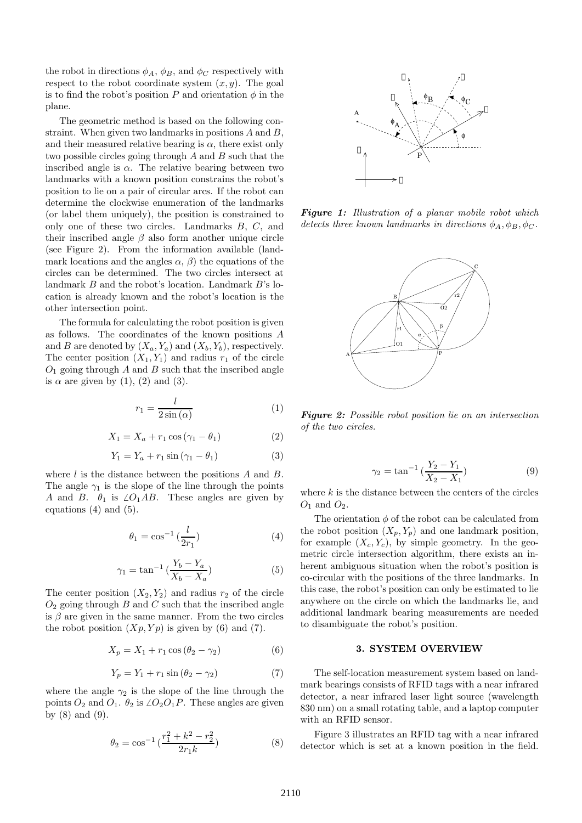the robot in directions  $\phi_A$ ,  $\phi_B$ , and  $\phi_C$  respectively with respect to the robot coordinate system  $(x, y)$ . The goal is to find the robot's position P and orientation  $\phi$  in the plane.

The geometric method is based on the following constraint. When given two landmarks in positions  $A$  and  $B$ , and their measured relative bearing is  $\alpha$ , there exist only two possible circles going through A and B such that the inscribed angle is  $\alpha$ . The relative bearing between two landmarks with a known position constrains the robot's position to lie on a pair of circular arcs. If the robot can determine the clockwise enumeration of the landmarks (or label them uniquely), the position is constrained to only one of these two circles. Landmarks  $B, C,$  and their inscribed angle  $\beta$  also form another unique circle (see Figure 2). From the information available (landmark locations and the angles  $\alpha$ ,  $\beta$ ) the equations of the circles can be determined. The two circles intersect at landmark B and the robot's location. Landmark B's location is already known and the robot's location is the other intersection point.

The formula for calculating the robot position is given as follows. The coordinates of the known positions A and B are denoted by  $(X_a, Y_a)$  and  $(X_b, Y_b)$ , respectively. The center position  $(X_1, Y_1)$  and radius  $r_1$  of the circle  $O<sub>1</sub>$  going through A and B such that the inscribed angle is  $\alpha$  are given by (1), (2) and (3).

$$
r_1 = \frac{l}{2\sin\left(\alpha\right)}\tag{1}
$$

$$
X_1 = X_a + r_1 \cos(\gamma_1 - \theta_1) \tag{2}
$$

$$
Y_1 = Y_a + r_1 \sin(\gamma_1 - \theta_1) \tag{3}
$$

where  $l$  is the distance between the positions  $A$  and  $B$ . The angle  $\gamma_1$  is the slope of the line through the points A and B.  $\theta_1$  is  $\angle O_1AB$ . These angles are given by equations (4) and (5).

$$
\theta_1 = \cos^{-1}\left(\frac{l}{2r_1}\right) \tag{4}
$$

$$
\gamma_1 = \tan^{-1} \left( \frac{Y_b - Y_a}{X_b - X_a} \right) \tag{5}
$$

The center position  $(X_2, Y_2)$  and radius  $r_2$  of the circle  $O<sub>2</sub>$  going through B and C such that the inscribed angle is  $\beta$  are given in the same manner. From the two circles the robot position  $(Xp, Yp)$  is given by (6) and (7).

$$
X_p = X_1 + r_1 \cos(\theta_2 - \gamma_2) \tag{6}
$$

$$
Y_p = Y_1 + r_1 \sin(\theta_2 - \gamma_2)
$$
 (7)

where the angle  $\gamma_2$  is the slope of the line through the points  $O_2$  and  $O_1$ .  $\theta_2$  is  $\angle O_2O_1P$ . These angles are given by  $(8)$  and  $(9)$ .

$$
\theta_2 = \cos^{-1}\left(\frac{r_1^2 + k^2 - r_2^2}{2r_1k}\right) \tag{8}
$$



*Figure 1: Illustration of a planar mobile robot which detects three known landmarks in directions*  $\phi_A$ ,  $\phi_B$ ,  $\phi_C$ .



*Figure 2: Possible robot position lie on an intersection of the two circles.*

$$
\gamma_2 = \tan^{-1}\left(\frac{Y_2 - Y_1}{X_2 - X_1}\right) \tag{9}
$$

where  $k$  is the distance between the centers of the circles  $O_1$  and  $O_2$ .

The orientation  $\phi$  of the robot can be calculated from the robot position  $(X_p, Y_p)$  and one landmark position, for example  $(X_c, Y_c)$ , by simple geometry. In the geometric circle intersection algorithm, there exists an inherent ambiguous situation when the robot's position is co-circular with the positions of the three landmarks. In this case, the robot's position can only be estimated to lie anywhere on the circle on which the landmarks lie, and additional landmark bearing measurements are needed to disambiguate the robot's position.

#### **3. SYSTEM OVERVIEW**

The self-location measurement system based on landmark bearings consists of RFID tags with a near infrared detector, a near infrared laser light source (wavelength 830 nm) on a small rotating table, and a laptop computer with an RFID sensor.

Figure 3 illustrates an RFID tag with a near infrared detector which is set at a known position in the field.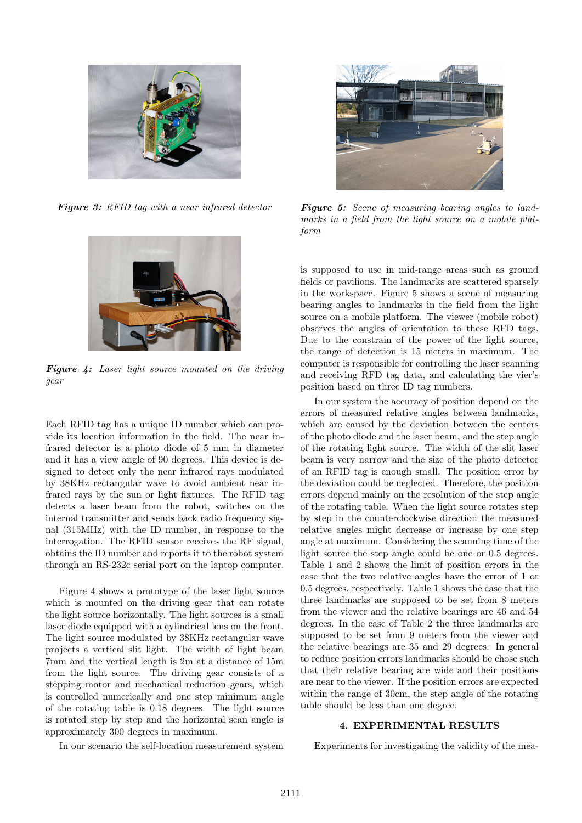

*Figure 3: RFID tag with a near infrared detector*



*Figure 4: Laser light source mounted on the driving gear*

Each RFID tag has a unique ID number which can provide its location information in the field. The near infrared detector is a photo diode of 5 mm in diameter and it has a view angle of 90 degrees. This device is designed to detect only the near infrared rays modulated by 38KHz rectangular wave to avoid ambient near infrared rays by the sun or light fixtures. The RFID tag detects a laser beam from the robot, switches on the internal transmitter and sends back radio frequency signal (315MHz) with the ID number, in response to the interrogation. The RFID sensor receives the RF signal, obtains the ID number and reports it to the robot system through an RS-232c serial port on the laptop computer.

Figure 4 shows a prototype of the laser light source which is mounted on the driving gear that can rotate the light source horizontally. The light sources is a small laser diode equipped with a cylindrical lens on the front. The light source modulated by 38KHz rectangular wave projects a vertical slit light. The width of light beam 7mm and the vertical length is 2m at a distance of 15m from the light source. The driving gear consists of a stepping motor and mechanical reduction gears, which is controlled numerically and one step minimum angle of the rotating table is 0.18 degrees. The light source is rotated step by step and the horizontal scan angle is approximately 300 degrees in maximum.

In our scenario the self-location measurement system



*Figure 5: Scene of measuring bearing angles to landmarks in a field from the light source on a mobile platform*

is supposed to use in mid-range areas such as ground fields or pavilions. The landmarks are scattered sparsely in the workspace. Figure 5 shows a scene of measuring bearing angles to landmarks in the field from the light source on a mobile platform. The viewer (mobile robot) observes the angles of orientation to these RFD tags. Due to the constrain of the power of the light source, the range of detection is 15 meters in maximum. The computer is responsible for controlling the laser scanning and receiving RFD tag data, and calculating the vier's position based on three ID tag numbers.

In our system the accuracy of position depend on the errors of measured relative angles between landmarks, which are caused by the deviation between the centers of the photo diode and the laser beam, and the step angle of the rotating light source. The width of the slit laser beam is very narrow and the size of the photo detector of an RFID tag is enough small. The position error by the deviation could be neglected. Therefore, the position errors depend mainly on the resolution of the step angle of the rotating table. When the light source rotates step by step in the counterclockwise direction the measured relative angles might decrease or increase by one step angle at maximum. Considering the scanning time of the light source the step angle could be one or 0.5 degrees. Table 1 and 2 shows the limit of position errors in the case that the two relative angles have the error of 1 or 0.5 degrees, respectively. Table 1 shows the case that the three landmarks are supposed to be set from 8 meters from the viewer and the relative bearings are 46 and 54 degrees. In the case of Table 2 the three landmarks are supposed to be set from 9 meters from the viewer and the relative bearings are 35 and 29 degrees. In general to reduce position errors landmarks should be chose such that their relative bearing are wide and their positions are near to the viewer. If the position errors are expected within the range of 30cm, the step angle of the rotating table should be less than one degree.

## **4. EXPERIMENTAL RESULTS**

Experiments for investigating the validity of the mea-